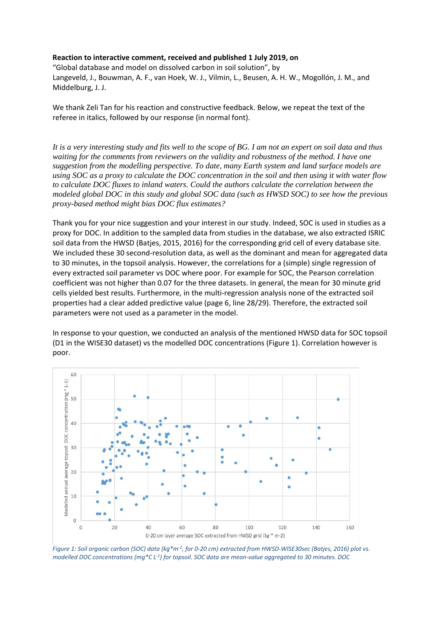## **Reaction to interactive comment, received and published 1 July 2019, on**

"Global database and model on dissolved carbon in soil solution", by Langeveld, J., Bouwman, A. F., van Hoek, W. J., Vilmin, L., Beusen, A. H. W., Mogollón, J. M., and Middelburg, J. J.

We thank Zeli Tan for his reaction and constructive feedback. Below, we repeat the text of the referee in italics, followed by our response (in normal font).

*It is a very interesting study and fits well to the scope of BG. I am not an expert on soil data and thus waiting for the comments from reviewers on the validity and robustness of the method. I have one suggestion from the modelling perspective. To date, many Earth system and land surface models are using SOC as a proxy to calculate the DOC concentration in the soil and then using it with water flow to calculate DOC fluxes to inland waters. Could the authors calculate the correlation between the modeled global DOC in this study and global SOC data (such as HWSD SOC) to see how the previous proxy-based method might bias DOC flux estimates?*

Thank you for your nice suggestion and your interest in our study. Indeed, SOC is used in studies as a proxy for DOC. In addition to the sampled data from studies in the database, we also extracted ISRIC soil data from the HWSD (Batjes, 2015, 2016) for the corresponding grid cell of every database site. We included these 30 second-resolution data, as well as the dominant and mean for aggregated data to 30 minutes, in the topsoil analysis. However, the correlations for a (simple) single regression of every extracted soil parameter vs DOC where poor. For example for SOC, the Pearson correlation coefficient was not higher than 0.07 for the three datasets. In general, the mean for 30 minute grid cells yielded best results. Furthermore, in the multi-regression analysis none of the extracted soil properties had a clear added predictive value (page 6, line 28/29). Therefore, the extracted soil parameters were not used as a parameter in the model.

In response to your question, we conducted an analysis of the mentioned HWSD data for SOC topsoil (D1 in the WISE30 dataset) vs the modelled DOC concentrations (Figure 1). Correlation however is poor.



*Figure 1: Soil organic carbon (SOC) data (kg\*m-2, for 0-20 cm) extracted from HWSD-WISE30sec (Batjes, 2016) plot vs. modelled DOC concentrations (mg\*C L-1) for topsoil. SOC data are mean-value aggregated to 30 minutes. DOC*